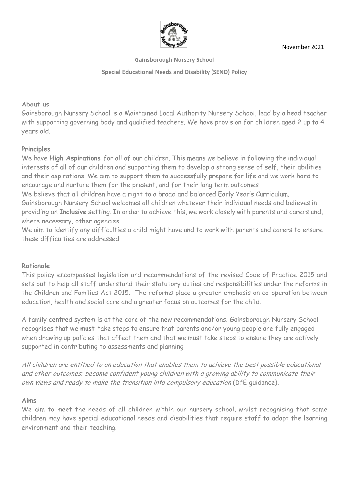

November 2021

**Gainsborough Nursery School**

**Special Educational Needs and Disability (SEND) Policy**

## **About us**

Gainsborough Nursery School is a Maintained Local Authority Nursery School, lead by a head teacher with supporting governing body and qualified teachers. We have provision for children aged 2 up to 4 years old.

## **Principles**

We have **High Aspirations** for all of our children. This means we believe in following the individual interests of all of our children and supporting them to develop a strong sense of self, their abilities and their aspirations. We aim to support them to successfully prepare for life and we work hard to encourage and nurture them for the present, and for their long term outcomes We believe that all children have a right to a broad and balanced Early Year's Curriculum.

Gainsborough Nursery School welcomes all children whatever their individual needs and believes in providing an **Inclusive** setting. In order to achieve this, we work closely with parents and carers and, where necessary, other agencies.

We aim to identify any difficulties a child might have and to work with parents and carers to ensure these difficulties are addressed.

# **Rationale**

This policy encompasses legislation and recommendations of the revised Code of Practice 2015 and sets out to help all staff understand their statutory duties and responsibilities under the reforms in the Children and Families Act 2015. The reforms place a greater emphasis on co-operation between education, health and social care and a greater focus on outcomes for the child.

A family centred system is at the core of the new recommendations. Gainsborough Nursery School recognises that we **must** take steps to ensure that parents and/or young people are fully engaged when drawing up policies that affect them and that we must take steps to ensure they are actively supported in contributing to assessments and planning

All children are entitled to an education that enables them to achieve the best possible educational and other outcomes; become confident young children with a growing ability to communicate their own views and ready to make the transition into compulsory education (DfE guidance).

## **Aims**

We aim to meet the needs of all children within our nursery school, whilst recognising that some children may have special educational needs and disabilities that require staff to adapt the learning environment and their teaching.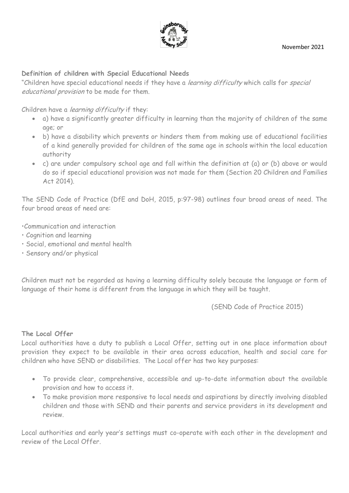

## **Definition of children with Special Educational Needs**

"Children have special educational needs if they have a learning difficulty which calls for special educational provision to be made for them.

Children have a learning difficulty if they:

- a) have a significantly greater difficulty in learning than the majority of children of the same age; or
- b) have a disability which prevents or hinders them from making use of educational facilities of a kind generally provided for children of the same age in schools within the local education authority
- c) are under compulsory school age and fall within the definition at (a) or (b) above or would do so if special educational provision was not made for them (Section 20 Children and Families Act 2014).

The SEND Code of Practice (DfE and DoH, 2015, p:97-98) outlines four broad areas of need. The four broad areas of need are:

•Communication and interaction

- Cognition and learning
- Social, emotional and mental health
- Sensory and/or physical

Children must not be regarded as having a learning difficulty solely because the language or form of language of their home is different from the language in which they will be taught.

(SEND Code of Practice 2015)

## **The Local Offer**

Local authorities have a duty to publish a Local Offer, setting out in one place information about provision they expect to be available in their area across education, health and social care for children who have SEND or disabilities. The Local offer has two key purposes:

- To provide clear, comprehensive, accessible and up-to-date information about the available provision and how to access it.
- To make provision more responsive to local needs and aspirations by directly involving disabled children and those with SEND and their parents and service providers in its development and review.

Local authorities and early year's settings must co-operate with each other in the development and review of the Local Offer.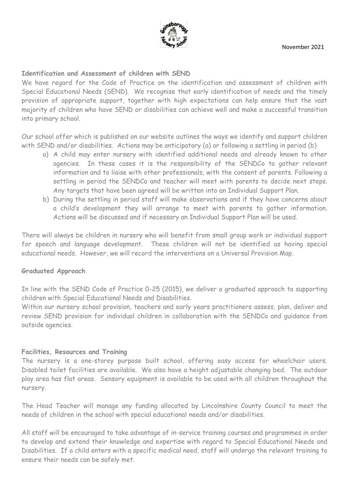

## **Identification and Assessment of children with SEND**

We have regard for the Code of Practice on the identification and assessment of children with Special Educational Needs (SEND). We recognise that early identification of needs and the timely provision of appropriate support, together with high expectations can help ensure that the vast majority of children who have SEND or disabilities can achieve well and make a successful transition into primary school.

Our school offer which is published on our website outlines the ways we identify and support children with SEND and/or disabilities. Actions may be anticipatory (a) or following a settling in period (b)

- a) A child may enter nursery with identified additional needs and already known to other agencies. In these cases it is the responsibility of the SENDCo to gather relevant information and to liaise with other professionals, with the consent of parents. Following a settling in period the SENDCo and teacher will meet with parents to decide next steps. Any targets that have been agreed will be written into an Individual Support Plan.
- b) During the settling in period staff will make observations and if they have concerns about a child's development they will arrange to meet with parents to gather information. Actions will be discussed and if necessary an Individual Support Plan will be used.

There will always be children in nursery who will benefit from small group work or individual support for speech and language development. These children will not be identified as having special educational needs. However, we will record the interventions on a Universal Provision Map.

## **Graduated Approach**

In line with the SEND Code of Practice 0-25 (2015), we deliver a graduated approach to supporting children with Special Educational Needs and Disabilities.

Within our nursery school provision, teachers and early years practitioners assess, plan, deliver and review SEND provision for individual children in collaboration with the SENDCo and guidance from outside agencies.

## **Facilities, Resources and Training**

The nursery is a one-storey purpose built school, offering easy access for wheelchair users. Disabled toilet facilities are available. We also have a height adjustable changing bed. The outdoor play area has flat areas. Sensory equipment is available to be used with all children throughout the nursery.

The Head Teacher will manage any funding allocated by Lincolnshire County Council to meet the needs of children in the school with special educational needs and/or disabilities.

All staff will be encouraged to take advantage of in-service training courses and programmes in order to develop and extend their knowledge and expertise with regard to Special Educational Needs and Disabilities. If a child enters with a specific medical need, staff will undergo the relevant training to ensure their needs can be safely met.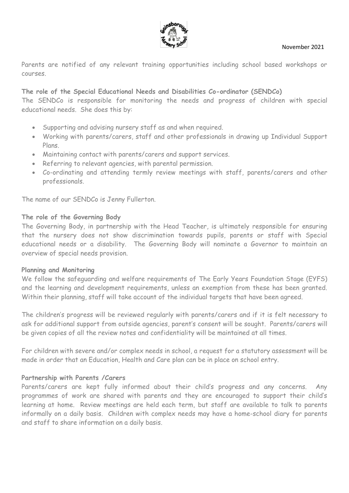

Parents are notified of any relevant training opportunities including school based workshops or courses.

## **The role of the Special Educational Needs and Disabilities Co-ordinator (SENDCo)**

The SENDCo is responsible for monitoring the needs and progress of children with special educational needs. She does this by:

- Supporting and advising nursery staff as and when required.
- Working with parents/carers, staff and other professionals in drawing up Individual Support Plans.
- Maintaining contact with parents/carers and support services.
- Referring to relevant agencies, with parental permission.
- Co-ordinating and attending termly review meetings with staff, parents/carers and other professionals.

The name of our SENDCo is Jenny Fullerton.

## **The role of the Governing Body**

The Governing Body, in partnership with the Head Teacher, is ultimately responsible for ensuring that the nursery does not show discrimination towards pupils, parents or staff with Special educational needs or a disability. The Governing Body will nominate a Governor to maintain an overview of special needs provision.

## **Planning and Monitoring**

We follow the safeguarding and welfare requirements of The Early Years Foundation Stage (EYFS) and the learning and development requirements, unless an exemption from these has been granted. Within their planning, staff will take account of the individual targets that have been agreed.

The children's progress will be reviewed regularly with parents/carers and if it is felt necessary to ask for additional support from outside agencies, parent's consent will be sought. Parents/carers will be given copies of all the review notes and confidentiality will be maintained at all times.

For children with severe and/or complex needs in school, a request for a statutory assessment will be made in order that an Education, Health and Care plan can be in place on school entry.

## **Partnership with Parents /Carers**

Parents/carers are kept fully informed about their child's progress and any concerns. Any programmes of work are shared with parents and they are encouraged to support their child's learning at home. Review meetings are held each term, but staff are available to talk to parents informally on a daily basis. Children with complex needs may have a home-school diary for parents and staff to share information on a daily basis.